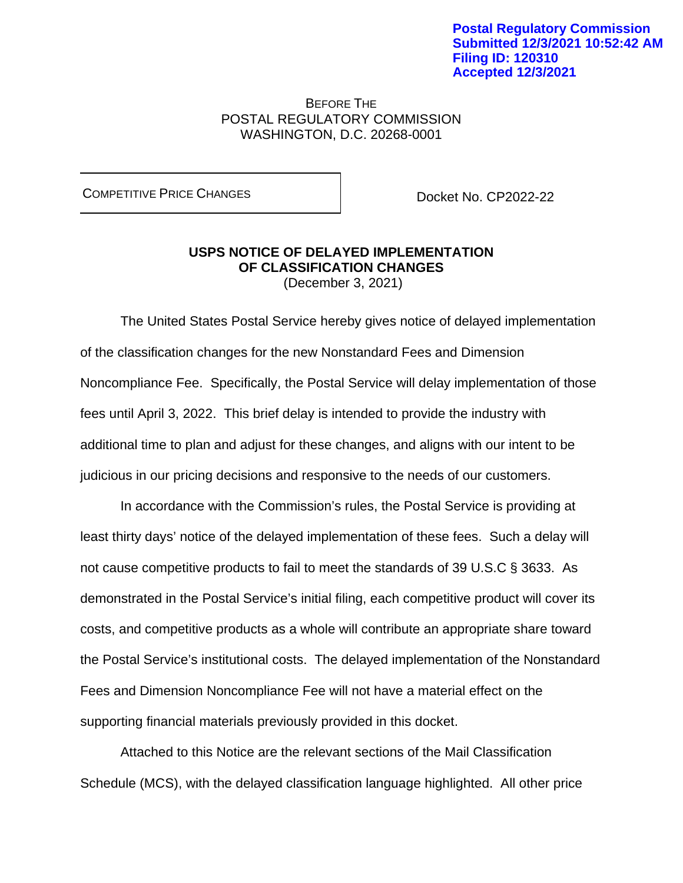## BEFORE THE POSTAL REGULATORY COMMISSION WASHINGTON, D.C. 20268-0001

COMPETITIVE PRICE CHANGES **DOCKET NO. CP2022-22** 

# **USPS NOTICE OF DELAYED IMPLEMENTATION OF CLASSIFICATION CHANGES**

(December 3, 2021)

The United States Postal Service hereby gives notice of delayed implementation of the classification changes for the new Nonstandard Fees and Dimension Noncompliance Fee. Specifically, the Postal Service will delay implementation of those fees until April 3, 2022. This brief delay is intended to provide the industry with additional time to plan and adjust for these changes, and aligns with our intent to be judicious in our pricing decisions and responsive to the needs of our customers.

In accordance with the Commission's rules, the Postal Service is providing at least thirty days' notice of the delayed implementation of these fees. Such a delay will not cause competitive products to fail to meet the standards of 39 U.S.C § 3633. As demonstrated in the Postal Service's initial filing, each competitive product will cover its costs, and competitive products as a whole will contribute an appropriate share toward the Postal Service's institutional costs. The delayed implementation of the Nonstandard Fees and Dimension Noncompliance Fee will not have a material effect on the supporting financial materials previously provided in this docket.

Attached to this Notice are the relevant sections of the Mail Classification Schedule (MCS), with the delayed classification language highlighted. All other price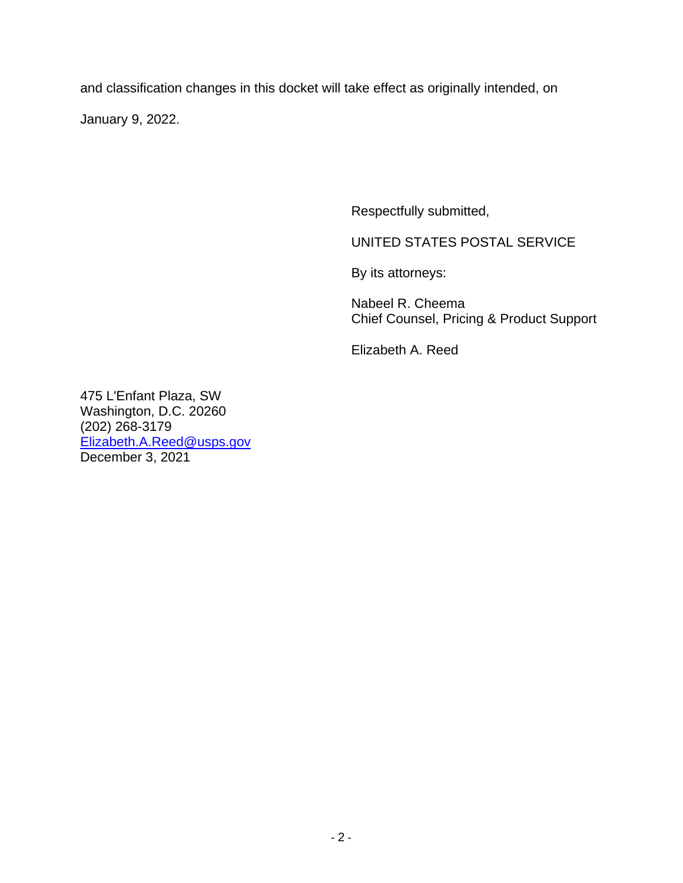and classification changes in this docket will take effect as originally intended, on

January 9, 2022.

Respectfully submitted,

UNITED STATES POSTAL SERVICE

By its attorneys:

Nabeel R. Cheema Chief Counsel, Pricing & Product Support

Elizabeth A. Reed

475 L'Enfant Plaza, SW Washington, D.C. 20260 (202) 268-3179 [Elizabeth.A.Reed@usps.gov](mailto:Elizabeth.A.Reed@usps.gov) December 3, 2021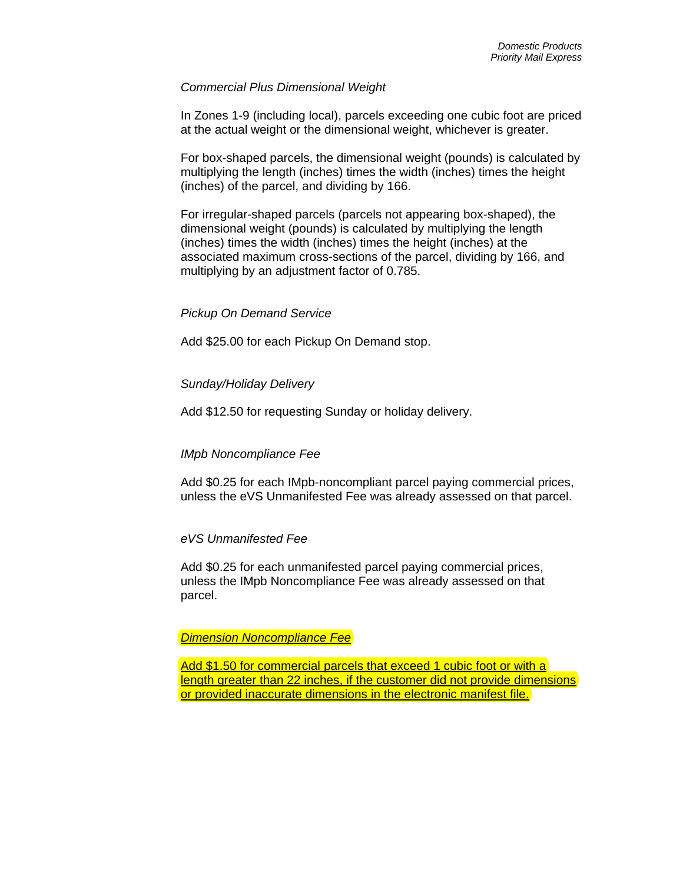## *Commercial Plus Dimensional Weight*

In Zones 1-9 (including local), parcels exceeding one cubic foot are priced at the actual weight or the dimensional weight, whichever is greater.

For box-shaped parcels, the dimensional weight (pounds) is calculated by multiplying the length (inches) times the width (inches) times the height (inches) of the parcel, and dividing by 166.

For irregular-shaped parcels (parcels not appearing box-shaped), the dimensional weight (pounds) is calculated by multiplying the length (inches) times the width (inches) times the height (inches) at the associated maximum cross-sections of the parcel, dividing by 166, and multiplying by an adjustment factor of 0.785.

## *Pickup On Demand Service*

Add \$25.00 for each Pickup On Demand stop.

## *Sunday/Holiday Delivery*

Add \$12.50 for requesting Sunday or holiday delivery.

## *IMpb Noncompliance Fee*

Add \$0.25 for each IMpb-noncompliant parcel paying commercial prices, unless the eVS Unmanifested Fee was already assessed on that parcel.

## *eVS Unmanifested Fee*

Add \$0.25 for each unmanifested parcel paying commercial prices, unless the IMpb Noncompliance Fee was already assessed on that parcel.

## *Dimension Noncompliance Fee*

Add \$1.50 for commercial parcels that exceed 1 cubic foot or with a length greater than 22 inches, if the customer did not provide dimensions or provided inaccurate dimensions in the electronic manifest file.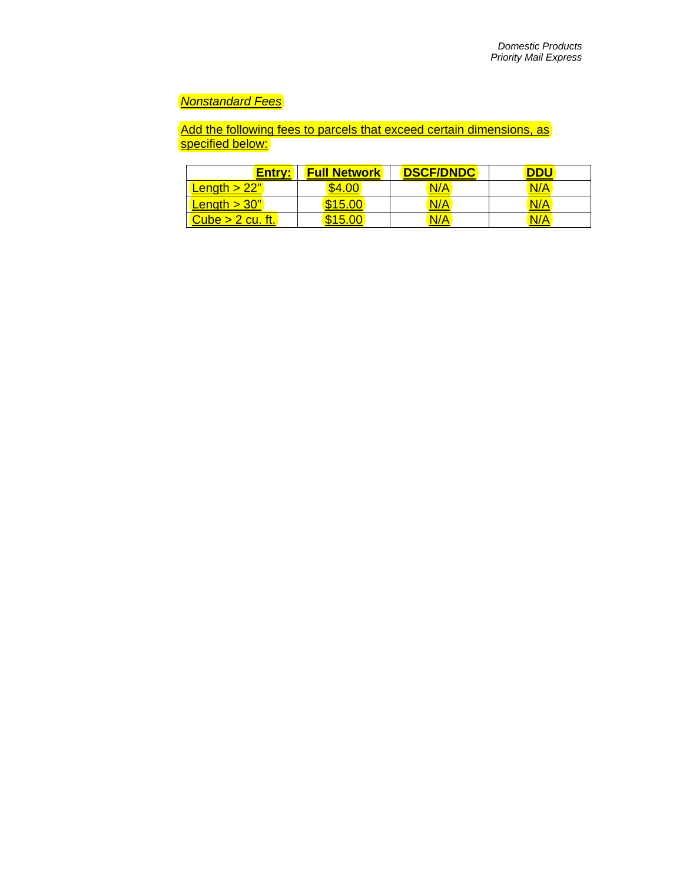## *Nonstandard Fees*

Add the following fees to parcels that exceed certain dimensions, as specified below:

| Entry:                 | <b>Full Network</b> | <b>DSCF/DNDC</b> | וחח |
|------------------------|---------------------|------------------|-----|
| <b>Length &gt; 22"</b> |                     | N/A              | N/A |
| Length $>$ 30"         | \$15.00             | N/A              | N/A |
| Cube $> 2$ cu. ft.     | \$15.00             | N/A              | N/A |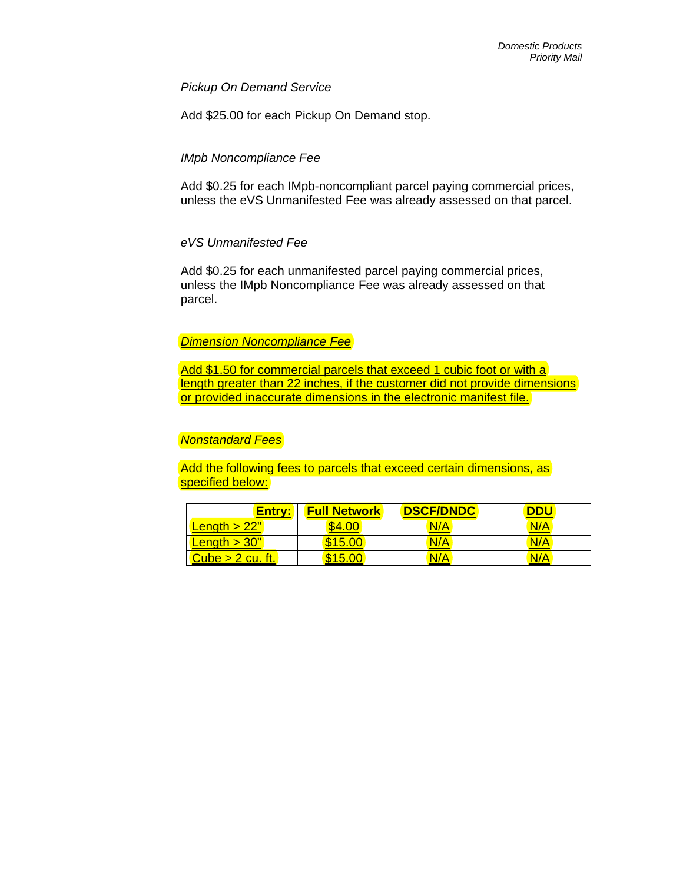*Pickup On Demand Service*

Add \$25.00 for each Pickup On Demand stop.

## *IMpb Noncompliance Fee*

Add \$0.25 for each IMpb-noncompliant parcel paying commercial prices, unless the eVS Unmanifested Fee was already assessed on that parcel.

## *eVS Unmanifested Fee*

Add \$0.25 for each unmanifested parcel paying commercial prices, unless the IMpb Noncompliance Fee was already assessed on that parcel.

## *Dimension Noncompliance Fee*

Add \$1.50 for commercial parcels that exceed 1 cubic foot or with a length greater than 22 inches, if the customer did not provide dimensions or provided inaccurate dimensions in the electronic manifest file.

## *Nonstandard Fees*

Add the following fees to parcels that exceed certain dimensions, as specified below:

| Entry:           | <b>Full Network</b> | <b>DSCF/DNDC</b> | וחח |
|------------------|---------------------|------------------|-----|
| Length $>$ 22"   |                     | N/A              | N/A |
| Length $>$ 30"   | \$15.00             | <mark>N/A</mark> | N/A |
| Cube > 2 cu. ft. | \$15.00             | N/A              | N/A |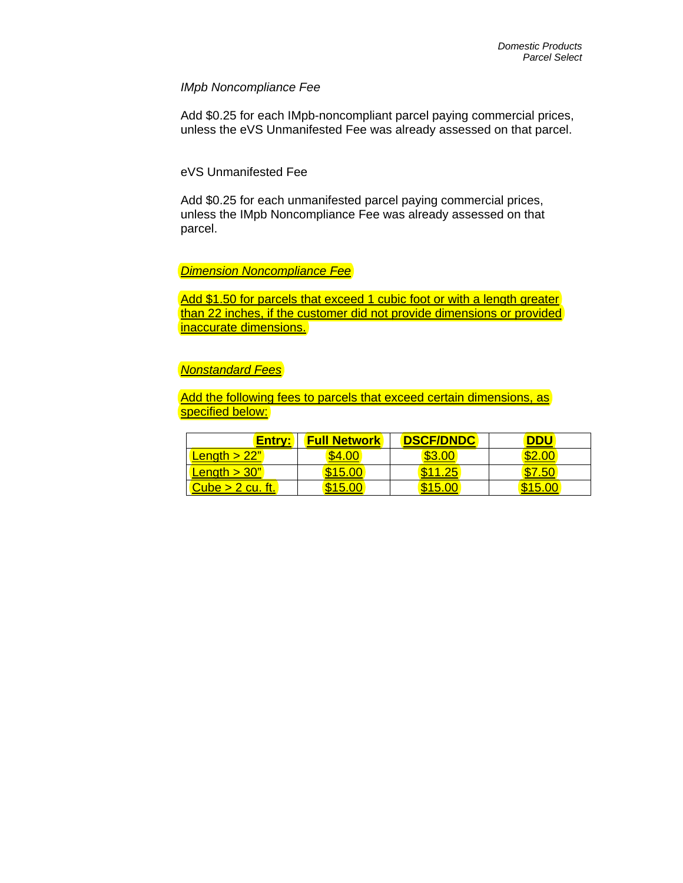### *IMpb Noncompliance Fee*

Add \$0.25 for each IMpb-noncompliant parcel paying commercial prices, unless the eVS Unmanifested Fee was already assessed on that parcel.

## eVS Unmanifested Fee

Add \$0.25 for each unmanifested parcel paying commercial prices, unless the IMpb Noncompliance Fee was already assessed on that parcel.

## *Dimension Noncompliance Fee*

Add \$1.50 for parcels that exceed 1 cubic foot or with a length greater than 22 inches, if the customer did not provide dimensions or provided inaccurate dimensions.

#### *Nonstandard Fees*

Add the following fees to parcels that exceed certain dimensions, as specified below:

| Entry:                 | <b>Full Network</b> | <b>DSCF/DNDC</b> | וחח |
|------------------------|---------------------|------------------|-----|
| Length $>22"$          |                     |                  |     |
| <b>Length &gt; 30"</b> | \$15.00             |                  | 51  |
| Cube > 2 cu. ft.       | \$15.00             | <b>\$15.00</b>   |     |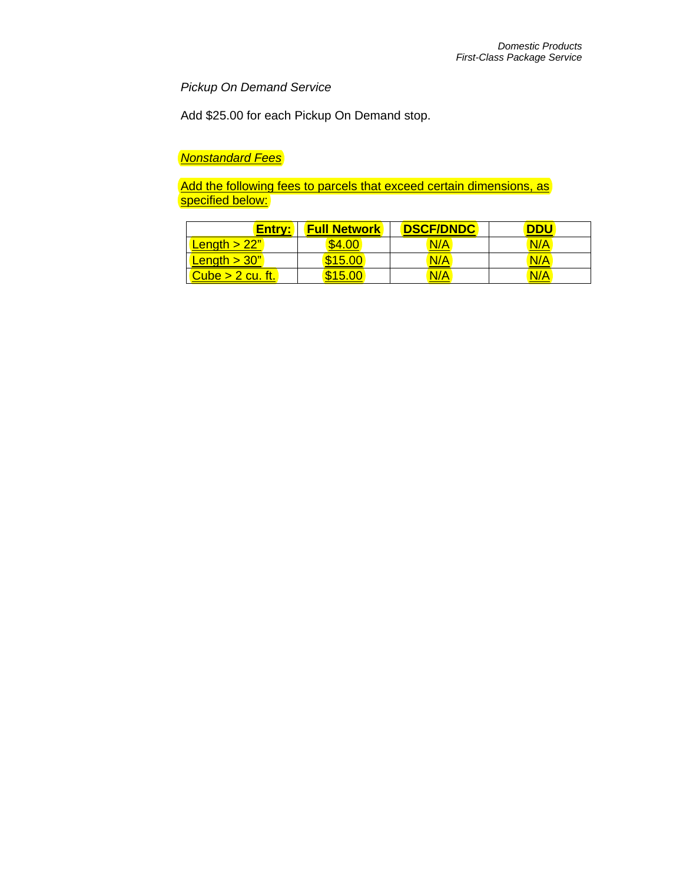*Pickup On Demand Service*

Add \$25.00 for each Pickup On Demand stop.

*Nonstandard Fees*

Add the following fees to parcels that exceed certain dimensions, as specified below:

| Entry:           | <b>Full Network</b> | <b>DSCF/DNDC</b> | <b>DDU</b> |
|------------------|---------------------|------------------|------------|
| Length $>$ 22"   | \$4.00              | N/A              | N/A        |
| Length $>$ 30"   | \$15.00             | N/A              | N/A        |
| Cube > 2 cu. ft. | \$15                | N/A              | N/A        |